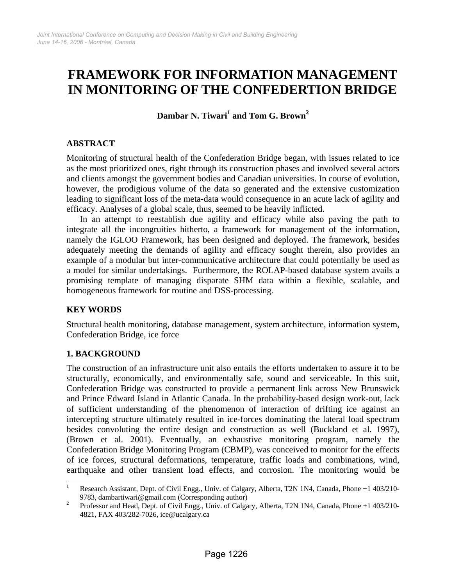# **FRAMEWORK FOR INFORMATION MANAGEMENT IN MONITORING OF THE CONFEDERTION BRIDGE**

**Dambar N. Tiwari<sup>1</sup> and Tom G. Brown<sup>2</sup>**

# **ABSTRACT**

Monitoring of structural health of the Confederation Bridge began, with issues related to ice as the most prioritized ones, right through its construction phases and involved several actors and clients amongst the government bodies and Canadian universities. In course of evolution, however, the prodigious volume of the data so generated and the extensive customization leading to significant loss of the meta-data would consequence in an acute lack of agility and efficacy. Analyses of a global scale, thus, seemed to be heavily inflicted.

In an attempt to reestablish due agility and efficacy while also paving the path to integrate all the incongruities hitherto, a framework for management of the information, namely the IGLOO Framework, has been designed and deployed. The framework, besides adequately meeting the demands of agility and efficacy sought therein, also provides an example of a modular but inter-communicative architecture that could potentially be used as a model for similar undertakings. Furthermore, the ROLAP-based database system avails a promising template of managing disparate SHM data within a flexible, scalable, and homogeneous framework for routine and DSS-processing.

## **KEY WORDS**

Structural health monitoring, database management, system architecture, information system, Confederation Bridge, ice force

## **1. BACKGROUND**

The construction of an infrastructure unit also entails the efforts undertaken to assure it to be structurally, economically, and environmentally safe, sound and serviceable. In this suit, Confederation Bridge was constructed to provide a permanent link across New Brunswick and Prince Edward Island in Atlantic Canada. In the probability-based design work-out, lack of sufficient understanding of the phenomenon of interaction of drifting ice against an intercepting structure ultimately resulted in ice-forces dominating the lateral load spectrum besides convoluting the entire design and construction as well (Buckland et al. 1997), (Brown et al. 2001). Eventually, an exhaustive monitoring program, namely the Confederation Bridge Monitoring Program (CBMP), was conceived to monitor for the effects of ice forces, structural deformations, temperature, traffic loads and combinations, wind, earthquake and other transient load effects, and corrosion. The monitoring would be

 $\frac{1}{1}$  Research Assistant, Dept. of Civil Engg., Univ. of Calgary, Alberta, T2N 1N4, Canada, Phone +1 403/210- 9783, dambartiwari@gmail.com (Corresponding author)

Professor and Head, Dept. of Civil Engg., Univ. of Calgary, Alberta, T2N 1N4, Canada, Phone +1 403/210- 4821, FAX 403/282-7026, ice@ucalgary.ca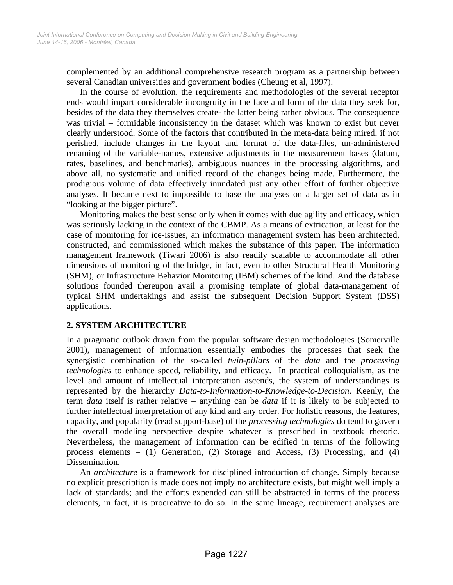complemented by an additional comprehensive research program as a partnership between several Canadian universities and government bodies (Cheung et al, 1997).

In the course of evolution, the requirements and methodologies of the several receptor ends would impart considerable incongruity in the face and form of the data they seek for, besides of the data they themselves create- the latter being rather obvious. The consequence was trivial – formidable inconsistency in the dataset which was known to exist but never clearly understood. Some of the factors that contributed in the meta-data being mired, if not perished, include changes in the layout and format of the data-files, un-administered renaming of the variable-names, extensive adjustments in the measurement bases (datum, rates, baselines, and benchmarks), ambiguous nuances in the processing algorithms, and above all, no systematic and unified record of the changes being made. Furthermore, the prodigious volume of data effectively inundated just any other effort of further objective analyses. It became next to impossible to base the analyses on a larger set of data as in "looking at the bigger picture".

Monitoring makes the best sense only when it comes with due agility and efficacy, which was seriously lacking in the context of the CBMP. As a means of extrication, at least for the case of monitoring for ice-issues, an information management system has been architected, constructed, and commissioned which makes the substance of this paper. The information management framework (Tiwari 2006) is also readily scalable to accommodate all other dimensions of monitoring of the bridge, in fact, even to other Structural Health Monitoring (SHM), or Infrastructure Behavior Monitoring (IBM) schemes of the kind. And the database solutions founded thereupon avail a promising template of global data-management of typical SHM undertakings and assist the subsequent Decision Support System (DSS) applications.

## **2. SYSTEM ARCHITECTURE**

In a pragmatic outlook drawn from the popular software design methodologies (Somerville 2001), management of information essentially embodies the processes that seek the synergistic combination of the so-called *twin-pillars* of the *data* and the *processing technologies* to enhance speed, reliability, and efficacy. In practical colloquialism, as the level and amount of intellectual interpretation ascends, the system of understandings is represented by the hierarchy *Data-to-Information-to-Knowledge-to-Decision*. Keenly, the term *data* itself is rather relative – anything can be *data* if it is likely to be subjected to further intellectual interpretation of any kind and any order. For holistic reasons, the features, capacity, and popularity (read support-base) of the *processing technologies* do tend to govern the overall modeling perspective despite whatever is prescribed in textbook rhetoric. Nevertheless, the management of information can be edified in terms of the following process elements – (1) Generation, (2) Storage and Access, (3) Processing, and (4) Dissemination.

An *architecture* is a framework for disciplined introduction of change. Simply because no explicit prescription is made does not imply no architecture exists, but might well imply a lack of standards; and the efforts expended can still be abstracted in terms of the process elements, in fact, it is procreative to do so. In the same lineage, requirement analyses are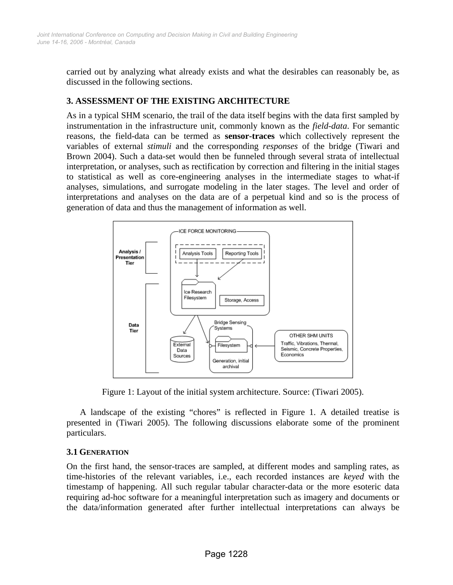carried out by analyzing what already exists and what the desirables can reasonably be, as discussed in the following sections.

#### **3. ASSESSMENT OF THE EXISTING ARCHITECTURE**

As in a typical SHM scenario, the trail of the data itself begins with the data first sampled by instrumentation in the infrastructure unit, commonly known as the *field-data*. For semantic reasons, the field-data can be termed as **sensor-traces** which collectively represent the variables of external *stimuli* and the corresponding *responses* of the bridge (Tiwari and Brown 2004). Such a data-set would then be funneled through several strata of intellectual interpretation, or analyses, such as rectification by correction and filtering in the initial stages to statistical as well as core-engineering analyses in the intermediate stages to what-if analyses, simulations, and surrogate modeling in the later stages. The level and order of interpretations and analyses on the data are of a perpetual kind and so is the process of generation of data and thus the management of information as well.



Figure 1: Layout of the initial system architecture. Source: (Tiwari 2005).

A landscape of the existing "chores" is reflected in Figure 1. A detailed treatise is presented in (Tiwari 2005). The following discussions elaborate some of the prominent particulars.

## **3.1 GENERATION**

On the first hand, the sensor-traces are sampled, at different modes and sampling rates, as time-histories of the relevant variables, i.e., each recorded instances are *keyed* with the timestamp of happening. All such regular tabular character-data or the more esoteric data requiring ad-hoc software for a meaningful interpretation such as imagery and documents or the data/information generated after further intellectual interpretations can always be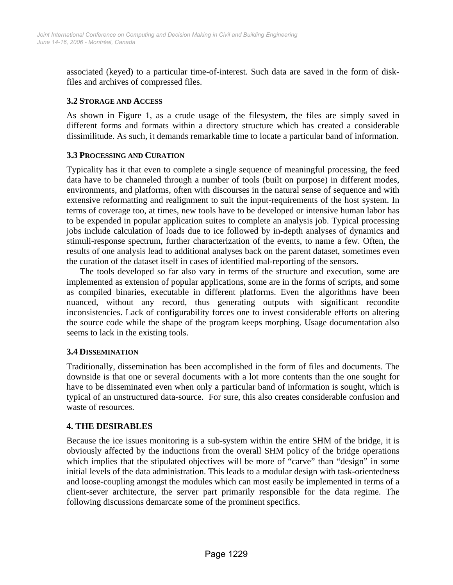associated (keyed) to a particular time-of-interest. Such data are saved in the form of diskfiles and archives of compressed files.

#### **3.2 STORAGE AND ACCESS**

As shown in Figure 1, as a crude usage of the filesystem, the files are simply saved in different forms and formats within a directory structure which has created a considerable dissimilitude. As such, it demands remarkable time to locate a particular band of information.

#### **3.3 PROCESSING AND CURATION**

Typicality has it that even to complete a single sequence of meaningful processing, the feed data have to be channeled through a number of tools (built on purpose) in different modes, environments, and platforms, often with discourses in the natural sense of sequence and with extensive reformatting and realignment to suit the input-requirements of the host system. In terms of coverage too, at times, new tools have to be developed or intensive human labor has to be expended in popular application suites to complete an analysis job. Typical processing jobs include calculation of loads due to ice followed by in-depth analyses of dynamics and stimuli-response spectrum, further characterization of the events, to name a few. Often, the results of one analysis lead to additional analyses back on the parent dataset, sometimes even the curation of the dataset itself in cases of identified mal-reporting of the sensors.

The tools developed so far also vary in terms of the structure and execution, some are implemented as extension of popular applications, some are in the forms of scripts, and some as compiled binaries, executable in different platforms. Even the algorithms have been nuanced, without any record, thus generating outputs with significant recondite inconsistencies. Lack of configurability forces one to invest considerable efforts on altering the source code while the shape of the program keeps morphing. Usage documentation also seems to lack in the existing tools.

## **3.4 DISSEMINATION**

Traditionally, dissemination has been accomplished in the form of files and documents. The downside is that one or several documents with a lot more contents than the one sought for have to be disseminated even when only a particular band of information is sought, which is typical of an unstructured data-source. For sure, this also creates considerable confusion and waste of resources.

## **4. THE DESIRABLES**

Because the ice issues monitoring is a sub-system within the entire SHM of the bridge, it is obviously affected by the inductions from the overall SHM policy of the bridge operations which implies that the stipulated objectives will be more of "carve" than "design" in some initial levels of the data administration. This leads to a modular design with task-orientedness and loose-coupling amongst the modules which can most easily be implemented in terms of a client-sever architecture, the server part primarily responsible for the data regime. The following discussions demarcate some of the prominent specifics.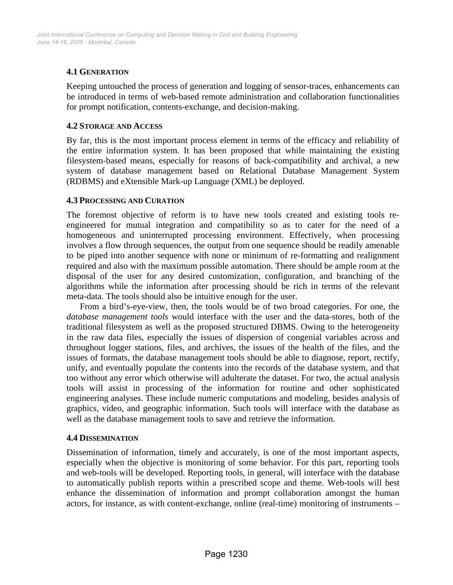# **4.1 GENERATION**

Keeping untouched the process of generation and logging of sensor-traces, enhancements can be introduced in terms of web-based remote administration and collaboration functionalities for prompt notification, contents-exchange, and decision-making.

#### **4.2 STORAGE AND ACCESS**

By far, this is the most important process element in terms of the efficacy and reliability of the entire information system. It has been proposed that while maintaining the existing filesystem-based means, especially for reasons of back-compatibility and archival, a new system of database management based on Relational Database Management System (RDBMS) and eXtensible Mark-up Language (XML) be deployed.

#### **4.3 PROCESSING AND CURATION**

The foremost objective of reform is to have new tools created and existing tools reengineered for mutual integration and compatibility so as to cater for the need of a homogeneous and uninterrupted processing environment. Effectively, when processing involves a flow through sequences, the output from one sequence should be readily amenable to be piped into another sequence with none or minimum of re-formatting and realignment required and also with the maximum possible automation. There should be ample room at the disposal of the user for any desired customization, configuration, and branching of the algorithms while the information after processing should be rich in terms of the relevant meta-data. The tools should also be intuitive enough for the user.

From a bird's-eye-view, then, the tools would be of two broad categories. For one, the *database management tools* would interface with the user and the data-stores, both of the traditional filesystem as well as the proposed structured DBMS. Owing to the heterogeneity in the raw data files, especially the issues of dispersion of congenial variables across and throughout logger stations, files, and archives, the issues of the health of the files, and the issues of formats, the database management tools should be able to diagnose, report, rectify, unify, and eventually populate the contents into the records of the database system, and that too without any error which otherwise will adulterate the dataset. For two, the actual analysis tools will assist in processing of the information for routine and other sophisticated engineering analyses. These include numeric computations and modeling, besides analysis of graphics, video, and geographic information. Such tools will interface with the database as well as the database management tools to save and retrieve the information.

## **4.4 DISSEMINATION**

Dissemination of information, timely and accurately, is one of the most important aspects, especially when the objective is monitoring of some behavior. For this part, reporting tools and web-tools will be developed. Reporting tools, in general, will interface with the database to automatically publish reports within a prescribed scope and theme. Web-tools will best enhance the dissemination of information and prompt collaboration amongst the human actors, for instance, as with content-exchange, online (real-time) monitoring of instruments –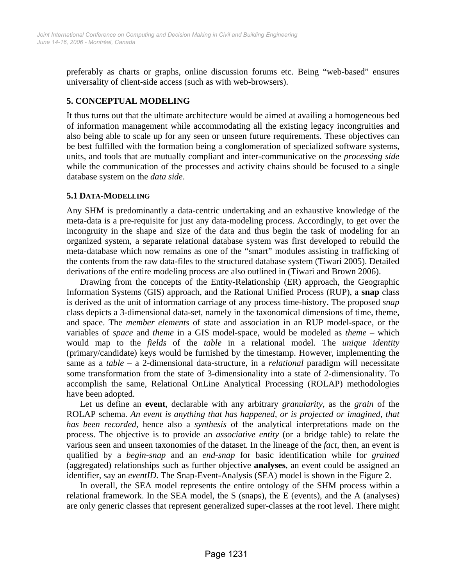preferably as charts or graphs, online discussion forums etc. Being "web-based" ensures universality of client-side access (such as with web-browsers).

# **5. CONCEPTUAL MODELING**

It thus turns out that the ultimate architecture would be aimed at availing a homogeneous bed of information management while accommodating all the existing legacy incongruities and also being able to scale up for any seen or unseen future requirements. These objectives can be best fulfilled with the formation being a conglomeration of specialized software systems, units, and tools that are mutually compliant and inter-communicative on the *processing side* while the communication of the processes and activity chains should be focused to a single database system on the *data side*.

#### **5.1 DATA-MODELLING**

Any SHM is predominantly a data-centric undertaking and an exhaustive knowledge of the meta-data is a pre-requisite for just any data-modeling process. Accordingly, to get over the incongruity in the shape and size of the data and thus begin the task of modeling for an organized system, a separate relational database system was first developed to rebuild the meta-database which now remains as one of the "smart" modules assisting in trafficking of the contents from the raw data-files to the structured database system (Tiwari 2005). Detailed derivations of the entire modeling process are also outlined in (Tiwari and Brown 2006).

Drawing from the concepts of the Entity-Relationship (ER) approach, the Geographic Information Systems (GIS) approach, and the Rational Unified Process (RUP), a **snap** class is derived as the unit of information carriage of any process time-history. The proposed *snap* class depicts a 3-dimensional data-set, namely in the taxonomical dimensions of time, theme, and space. The *member elements* of state and association in an RUP model-space, or the variables of *space* and *theme* in a GIS model-space, would be modeled as *theme* – which would map to the *fields* of the *table* in a relational model. The *unique identity* (primary/candidate) keys would be furnished by the timestamp. However, implementing the same as a *table* – a 2-dimensional data-structure, in a *relational* paradigm will necessitate some transformation from the state of 3-dimensionality into a state of 2-dimensionality. To accomplish the same, Relational OnLine Analytical Processing (ROLAP) methodologies have been adopted.

Let us define an **event**, declarable with any arbitrary *granularity*, as the *grain* of the ROLAP schema. *An event is anything that has happened, or is projected or imagined, that has been recorded*, hence also a *synthesis* of the analytical interpretations made on the process. The objective is to provide an *associative entity* (or a bridge table) to relate the various seen and unseen taxonomies of the dataset. In the lineage of the *fact*, then, an event is qualified by a *begin-snap* and an *end-snap* for basic identification while for *grained* (aggregated) relationships such as further objective **analyses**, an event could be assigned an identifier, say an *eventID*. The Snap-Event-Analysis (SEA) model is shown in the Figure 2.

In overall, the SEA model represents the entire ontology of the SHM process within a relational framework. In the SEA model, the S (snaps), the E (events), and the A (analyses) are only generic classes that represent generalized super-classes at the root level. There might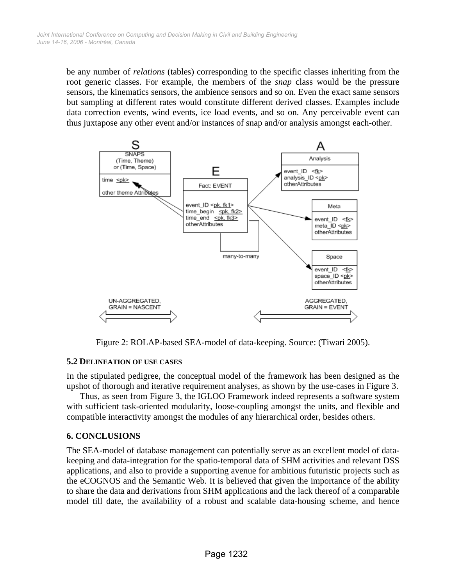be any number of *relations* (tables) corresponding to the specific classes inheriting from the root generic classes. For example, the members of the *snap* class would be the pressure sensors, the kinematics sensors, the ambience sensors and so on. Even the exact same sensors but sampling at different rates would constitute different derived classes. Examples include data correction events, wind events, ice load events, and so on. Any perceivable event can thus juxtapose any other event and/or instances of snap and/or analysis amongst each-other.



Figure 2: ROLAP-based SEA-model of data-keeping. Source: (Tiwari 2005).

#### **5.2 DELINEATION OF USE CASES**

In the stipulated pedigree, the conceptual model of the framework has been designed as the upshot of thorough and iterative requirement analyses, as shown by the use-cases in Figure 3.

Thus, as seen from Figure 3, the IGLOO Framework indeed represents a software system with sufficient task-oriented modularity, loose-coupling amongst the units, and flexible and compatible interactivity amongst the modules of any hierarchical order, besides others.

#### **6. CONCLUSIONS**

The SEA-model of database management can potentially serve as an excellent model of datakeeping and data-integration for the spatio-temporal data of SHM activities and relevant DSS applications, and also to provide a supporting avenue for ambitious futuristic projects such as the eCOGNOS and the Semantic Web. It is believed that given the importance of the ability to share the data and derivations from SHM applications and the lack thereof of a comparable model till date, the availability of a robust and scalable data-housing scheme, and hence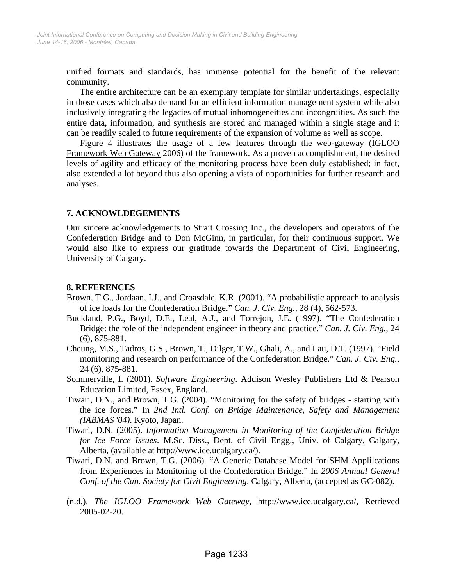unified formats and standards, has immense potential for the benefit of the relevant community.

The entire architecture can be an exemplary template for similar undertakings, especially in those cases which also demand for an efficient information management system while also inclusively integrating the legacies of mutual inhomogeneities and incongruities. As such the entire data, information, and synthesis are stored and managed within a single stage and it can be readily scaled to future requirements of the expansion of volume as well as scope.

Figure 4 illustrates the usage of a few features through the web-gateway (IGLOO Framework Web Gateway 2006) of the framework. As a proven accomplishment, the desired levels of agility and efficacy of the monitoring process have been duly established; in fact, also extended a lot beyond thus also opening a vista of opportunities for further research and analyses.

## **7. ACKNOWLDEGEMENTS**

Our sincere acknowledgements to Strait Crossing Inc., the developers and operators of the Confederation Bridge and to Don McGinn, in particular, for their continuous support. We would also like to express our gratitude towards the Department of Civil Engineering, University of Calgary.

#### **8. REFERENCES**

- Brown, T.G., Jordaan, I.J., and Croasdale, K.R. (2001). "A probabilistic approach to analysis of ice loads for the Confederation Bridge." *Can. J. Civ. Eng.*, 28 (4), 562-573.
- Buckland, P.G., Boyd, D.E., Leal, A.J., and Torrejon, J.E. (1997). "The Confederation Bridge: the role of the independent engineer in theory and practice." *Can. J. Civ. Eng.*, 24 (6), 875-881.
- Cheung, M.S., Tadros, G.S., Brown, T., Dilger, T.W., Ghali, A., and Lau, D.T. (1997). "Field monitoring and research on performance of the Confederation Bridge." *Can. J. Civ. Eng.*, 24 (6), 875-881.
- Sommerville, I. (2001). *Software Engineering*. Addison Wesley Publishers Ltd & Pearson Education Limited, Essex, England.
- Tiwari, D.N., and Brown, T.G. (2004). "Monitoring for the safety of bridges starting with the ice forces." In *2nd Intl. Conf. on Bridge Maintenance, Safety and Management (IABMAS '04)*. Kyoto, Japan.
- Tiwari, D.N. (2005). *Information Management in Monitoring of the Confederation Bridge for Ice Force Issues*. M.Sc. Diss., Dept. of Civil Engg., Univ. of Calgary, Calgary, Alberta, (available at http://www.ice.ucalgary.ca/).
- Tiwari, D.N. and Brown, T.G. (2006). "A Generic Database Model for SHM Applilcations from Experiences in Monitoring of the Confederation Bridge." In *2006 Annual General Conf. of the Can. Society for Civil Engineering*. Calgary, Alberta, (accepted as GC-082).
- (n.d.). *The IGLOO Framework Web Gateway*, http://www.ice.ucalgary.ca/, Retrieved 2005-02-20.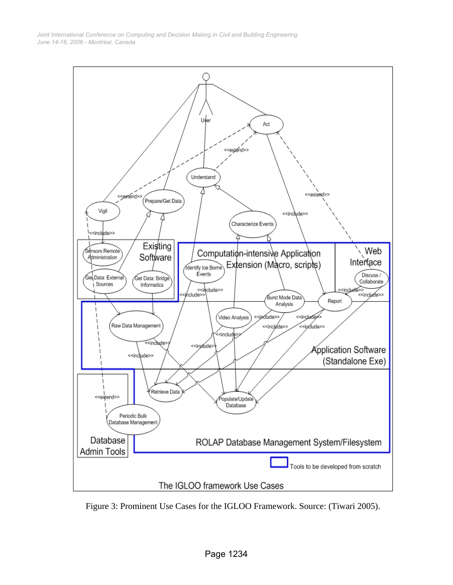*June 14-16, 2006 - Montréal, Canada Joint International Conference on Computing and Decision Making in Civil and Building Engineering*



Figure 3: Prominent Use Cases for the IGLOO Framework. Source: (Tiwari 2005).